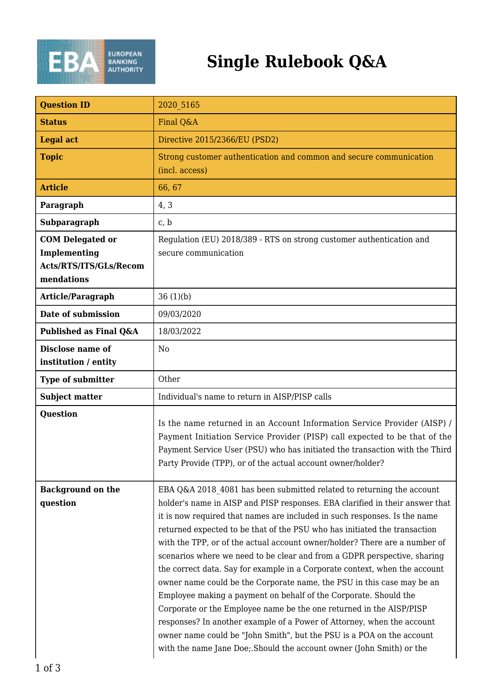

## **Single Rulebook Q&A**

| <b>Question ID</b>                                                              | 2020 5165                                                                                                                                                                                                                                                                                                                                                                                                                                                                                                                                                                                                                                                                                                                                                                                                                                                                                                                                                                                               |
|---------------------------------------------------------------------------------|---------------------------------------------------------------------------------------------------------------------------------------------------------------------------------------------------------------------------------------------------------------------------------------------------------------------------------------------------------------------------------------------------------------------------------------------------------------------------------------------------------------------------------------------------------------------------------------------------------------------------------------------------------------------------------------------------------------------------------------------------------------------------------------------------------------------------------------------------------------------------------------------------------------------------------------------------------------------------------------------------------|
| <b>Status</b>                                                                   | Final Q&A                                                                                                                                                                                                                                                                                                                                                                                                                                                                                                                                                                                                                                                                                                                                                                                                                                                                                                                                                                                               |
| <b>Legal act</b>                                                                | Directive 2015/2366/EU (PSD2)                                                                                                                                                                                                                                                                                                                                                                                                                                                                                                                                                                                                                                                                                                                                                                                                                                                                                                                                                                           |
| <b>Topic</b>                                                                    | Strong customer authentication and common and secure communication<br>(incl. access)                                                                                                                                                                                                                                                                                                                                                                                                                                                                                                                                                                                                                                                                                                                                                                                                                                                                                                                    |
| <b>Article</b>                                                                  | 66, 67                                                                                                                                                                                                                                                                                                                                                                                                                                                                                                                                                                                                                                                                                                                                                                                                                                                                                                                                                                                                  |
| Paragraph                                                                       | 4, 3                                                                                                                                                                                                                                                                                                                                                                                                                                                                                                                                                                                                                                                                                                                                                                                                                                                                                                                                                                                                    |
| Subparagraph                                                                    | c, b                                                                                                                                                                                                                                                                                                                                                                                                                                                                                                                                                                                                                                                                                                                                                                                                                                                                                                                                                                                                    |
| <b>COM Delegated or</b><br>Implementing<br>Acts/RTS/ITS/GLs/Recom<br>mendations | Regulation (EU) 2018/389 - RTS on strong customer authentication and<br>secure communication                                                                                                                                                                                                                                                                                                                                                                                                                                                                                                                                                                                                                                                                                                                                                                                                                                                                                                            |
| <b>Article/Paragraph</b>                                                        | 36(1)(b)                                                                                                                                                                                                                                                                                                                                                                                                                                                                                                                                                                                                                                                                                                                                                                                                                                                                                                                                                                                                |
| Date of submission                                                              | 09/03/2020                                                                                                                                                                                                                                                                                                                                                                                                                                                                                                                                                                                                                                                                                                                                                                                                                                                                                                                                                                                              |
| Published as Final Q&A                                                          | 18/03/2022                                                                                                                                                                                                                                                                                                                                                                                                                                                                                                                                                                                                                                                                                                                                                                                                                                                                                                                                                                                              |
| Disclose name of<br>institution / entity                                        | N <sub>0</sub>                                                                                                                                                                                                                                                                                                                                                                                                                                                                                                                                                                                                                                                                                                                                                                                                                                                                                                                                                                                          |
| <b>Type of submitter</b>                                                        | Other                                                                                                                                                                                                                                                                                                                                                                                                                                                                                                                                                                                                                                                                                                                                                                                                                                                                                                                                                                                                   |
| <b>Subject matter</b>                                                           | Individual's name to return in AISP/PISP calls                                                                                                                                                                                                                                                                                                                                                                                                                                                                                                                                                                                                                                                                                                                                                                                                                                                                                                                                                          |
| Question                                                                        | Is the name returned in an Account Information Service Provider (AISP) /<br>Payment Initiation Service Provider (PISP) call expected to be that of the<br>Payment Service User (PSU) who has initiated the transaction with the Third<br>Party Provide (TPP), or of the actual account owner/holder?                                                                                                                                                                                                                                                                                                                                                                                                                                                                                                                                                                                                                                                                                                    |
| <b>Background on the</b><br>question                                            | EBA Q&A 2018 4081 has been submitted related to returning the account<br>holder's name in AISP and PISP responses. EBA clarified in their answer that<br>it is now required that names are included in such responses. Is the name<br>returned expected to be that of the PSU who has initiated the transaction<br>with the TPP, or of the actual account owner/holder? There are a number of<br>scenarios where we need to be clear and from a GDPR perspective, sharing<br>the correct data. Say for example in a Corporate context, when the account<br>owner name could be the Corporate name, the PSU in this case may be an<br>Employee making a payment on behalf of the Corporate. Should the<br>Corporate or the Employee name be the one returned in the AISP/PISP<br>responses? In another example of a Power of Attorney, when the account<br>owner name could be "John Smith", but the PSU is a POA on the account<br>with the name Jane Doe; Should the account owner (John Smith) or the |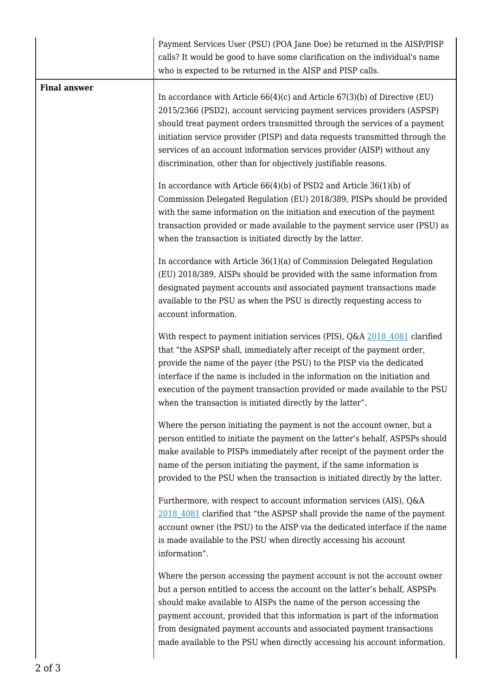|                     | Payment Services User (PSU) (POA Jane Doe) be returned in the AISP/PISP<br>calls? It would be good to have some clarification on the individual's name<br>who is expected to be returned in the AISP and PISP calls.                                                                                                                                                                                                                                                |
|---------------------|---------------------------------------------------------------------------------------------------------------------------------------------------------------------------------------------------------------------------------------------------------------------------------------------------------------------------------------------------------------------------------------------------------------------------------------------------------------------|
| <b>Final answer</b> | In accordance with Article $66(4)(c)$ and Article $67(3)(b)$ of Directive (EU)<br>2015/2366 (PSD2), account servicing payment services providers (ASPSP)<br>should treat payment orders transmitted through the services of a payment<br>initiation service provider (PISP) and data requests transmitted through the<br>services of an account information services provider (AISP) without any<br>discrimination, other than for objectively justifiable reasons. |
|                     | In accordance with Article $66(4)(b)$ of PSD2 and Article $36(1)(b)$ of<br>Commission Delegated Regulation (EU) 2018/389, PISPs should be provided<br>with the same information on the initiation and execution of the payment<br>transaction provided or made available to the payment service user (PSU) as<br>when the transaction is initiated directly by the latter.                                                                                          |
|                     | In accordance with Article 36(1)(a) of Commission Delegated Regulation<br>(EU) 2018/389, AISPs should be provided with the same information from<br>designated payment accounts and associated payment transactions made<br>available to the PSU as when the PSU is directly requesting access to<br>account information.                                                                                                                                           |
|                     | With respect to payment initiation services (PIS), Q&A 2018 4081 clarified<br>that "the ASPSP shall, immediately after receipt of the payment order,<br>provide the name of the payer (the PSU) to the PISP via the dedicated<br>interface if the name is included in the information on the initiation and<br>execution of the payment transaction provided or made available to the PSU<br>when the transaction is initiated directly by the latter".             |
|                     | Where the person initiating the payment is not the account owner, but a<br>person entitled to initiate the payment on the latter's behalf, ASPSPs should<br>make available to PISPs immediately after receipt of the payment order the<br>name of the person initiating the payment, if the same information is<br>provided to the PSU when the transaction is initiated directly by the latter.                                                                    |
|                     | Furthermore, with respect to account information services (AIS), Q&A<br>2018 4081 clarified that "the ASPSP shall provide the name of the payment<br>account owner (the PSU) to the AISP via the dedicated interface if the name<br>is made available to the PSU when directly accessing his account<br>information".                                                                                                                                               |
|                     | Where the person accessing the payment account is not the account owner<br>but a person entitled to access the account on the latter's behalf, ASPSPs<br>should make available to AISPs the name of the person accessing the<br>payment account, provided that this information is part of the information<br>from designated payment accounts and associated payment transactions<br>made available to the PSU when directly accessing his account information.    |